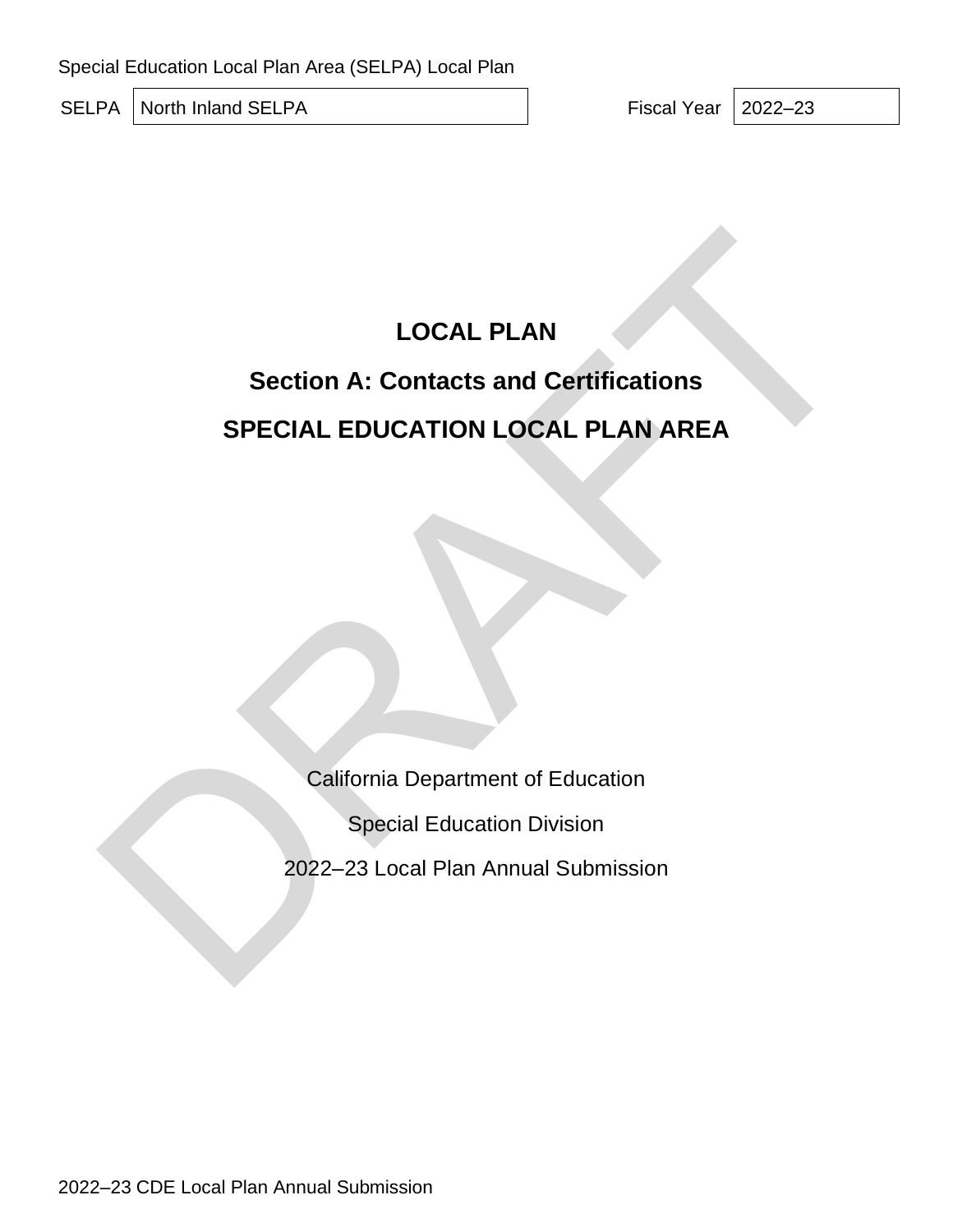Special Education Local Plan Area (SELPA) Local Plan

SELPA North Inland SELPA **Fiscal Year 2022–23** 

# **LOCAL PLAN**

# **Section A: Contacts and Certifications SPECIAL EDUCATION LOCAL PLAN AREA** LOCAL PLAN<br>Section A: Contacts and Certifications<br>SPECIAL EDUCATION LOCAL PLAN AREA<br>California Department of Education<br>Special Education Division<br>2022–23 Local Plan Annual Submission

California Department of Education

Special Education Division

2022–23 Local Plan Annual Submission

2022–23 CDE Local Plan Annual Submission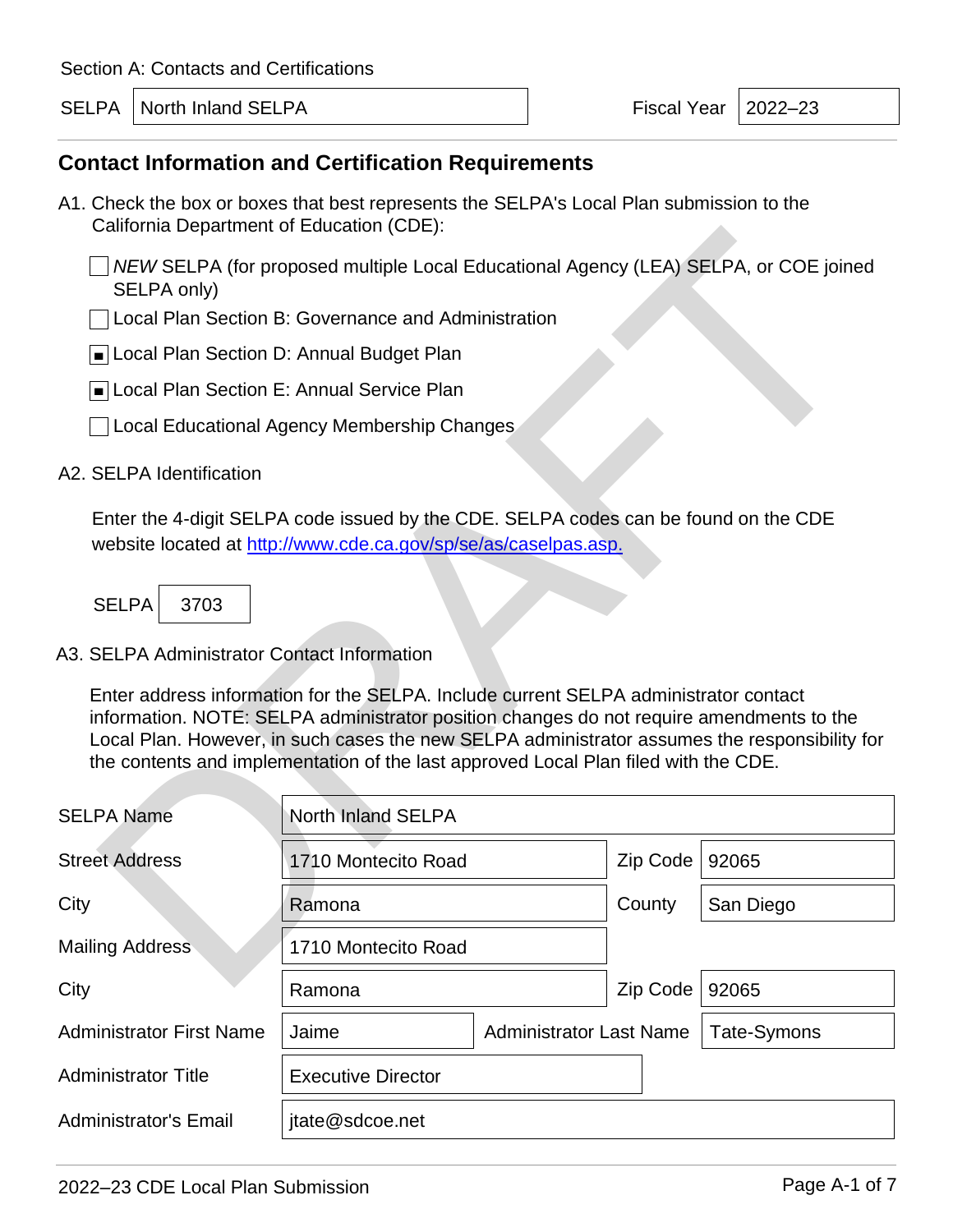SELPA | North Inland SELPA **Fiscal Year | 2022–23** 

## **Contact Information and Certification Requirements**

- A1. Check the box or boxes that best represents the SELPA's Local Plan submission to the California Department of Education (CDE):
	- *NEW* SELPA (for proposed multiple Local Educational Agency (LEA) SELPA, or COE joined SELPA only)
	- Local Plan Section B: Governance and Administration
	- ■Local Plan Section D: Annual Budget Plan
	- ■Local Plan Section E: Annual Service Plan
	- L Local Educational Agency Membership Changes

#### A2. SELPA Identification

| California Department of Education (CDE).                                  |                                                                                                                                                                                                                                                                                                                                                                          |  |             |           |  |  |
|----------------------------------------------------------------------------|--------------------------------------------------------------------------------------------------------------------------------------------------------------------------------------------------------------------------------------------------------------------------------------------------------------------------------------------------------------------------|--|-------------|-----------|--|--|
| SELPA only)                                                                | NEW SELPA (for proposed multiple Local Educational Agency (LEA) SELPA, or COE joined                                                                                                                                                                                                                                                                                     |  |             |           |  |  |
|                                                                            | Local Plan Section B: Governance and Administration                                                                                                                                                                                                                                                                                                                      |  |             |           |  |  |
| Local Plan Section D: Annual Budget Plan                                   |                                                                                                                                                                                                                                                                                                                                                                          |  |             |           |  |  |
| Local Plan Section E: Annual Service Plan                                  |                                                                                                                                                                                                                                                                                                                                                                          |  |             |           |  |  |
|                                                                            | Local Educational Agency Membership Changes                                                                                                                                                                                                                                                                                                                              |  |             |           |  |  |
| A2. SELPA Identification                                                   |                                                                                                                                                                                                                                                                                                                                                                          |  |             |           |  |  |
| <b>SELPA</b><br>3703                                                       | Enter the 4-digit SELPA code issued by the CDE. SELPA codes can be found on the CDE<br>website located at http://www.cde.ca.gov/sp/se/as/caselpas.asp.                                                                                                                                                                                                                   |  |             |           |  |  |
| A3. SELPA Administrator Contact Information                                |                                                                                                                                                                                                                                                                                                                                                                          |  |             |           |  |  |
|                                                                            | Enter address information for the SELPA. Include current SELPA administrator contact<br>information. NOTE: SELPA administrator position changes do not require amendments to the<br>Local Plan. However, in such cases the new SELPA administrator assumes the responsibility for<br>the contents and implementation of the last approved Local Plan filed with the CDE. |  |             |           |  |  |
| <b>SELPA Name</b>                                                          | <b>North Inland SELPA</b>                                                                                                                                                                                                                                                                                                                                                |  |             |           |  |  |
| <b>Street Address</b>                                                      | 1710 Montecito Road                                                                                                                                                                                                                                                                                                                                                      |  | Zip Code    | 92065     |  |  |
| City                                                                       | Ramona                                                                                                                                                                                                                                                                                                                                                                   |  | County      | San Diego |  |  |
| <b>Mailing Address</b>                                                     | 1710 Montecito Road                                                                                                                                                                                                                                                                                                                                                      |  |             |           |  |  |
| City                                                                       | Ramona                                                                                                                                                                                                                                                                                                                                                                   |  | Zip Code    | 92065     |  |  |
| <b>Administrator First Name</b><br><b>Administrator Last Name</b><br>Jaime |                                                                                                                                                                                                                                                                                                                                                                          |  | Tate-Symons |           |  |  |
| <b>Administrator Title</b>                                                 | <b>Executive Director</b>                                                                                                                                                                                                                                                                                                                                                |  |             |           |  |  |
| <b>Administrator's Email</b>                                               | jtate@sdcoe.net                                                                                                                                                                                                                                                                                                                                                          |  |             |           |  |  |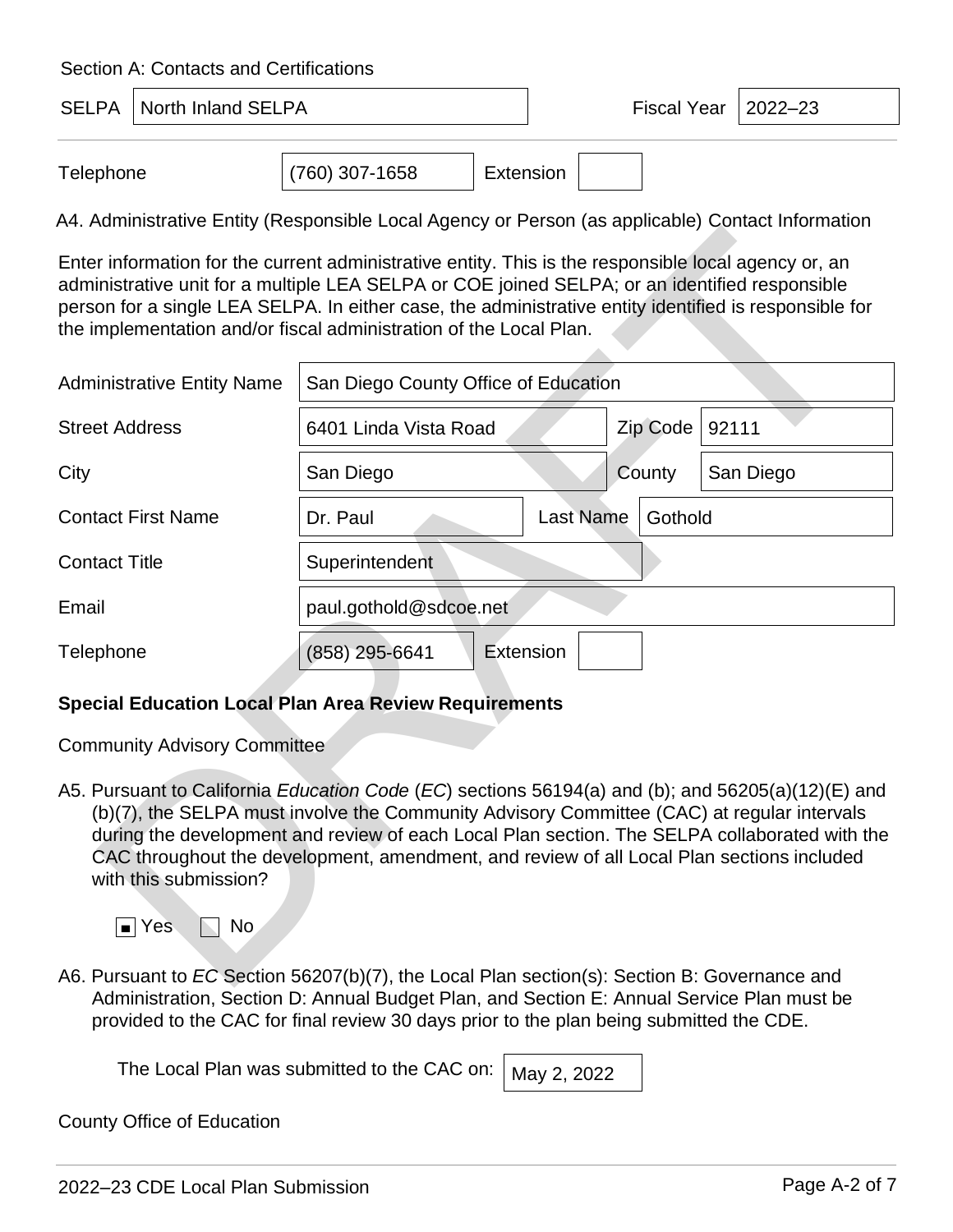| <b>SELPA</b>   North Inland SELPA | Fiscal Year | $ 2022 - 23$ |  |
|-----------------------------------|-------------|--------------|--|
|                                   |             |              |  |

| Telephone | $(760)$ 307-1658 | Extension |  |
|-----------|------------------|-----------|--|
|-----------|------------------|-----------|--|

A4. Administrative Entity (Responsible Local Agency or Person (as applicable) Contact Information

| Enter information for the current administrative entity. This is the responsible local agency or, an<br>administrative unit for a multiple LEA SELPA or COE joined SELPA; or an identified responsible<br>person for a single LEA SELPA. In either case, the administrative entity identified is responsible for<br>the implementation and/or fiscal administration of the Local Plan.                                                             |                                      |                  |          |           |
|----------------------------------------------------------------------------------------------------------------------------------------------------------------------------------------------------------------------------------------------------------------------------------------------------------------------------------------------------------------------------------------------------------------------------------------------------|--------------------------------------|------------------|----------|-----------|
| <b>Administrative Entity Name</b>                                                                                                                                                                                                                                                                                                                                                                                                                  | San Diego County Office of Education |                  |          |           |
| <b>Street Address</b>                                                                                                                                                                                                                                                                                                                                                                                                                              | 6401 Linda Vista Road                |                  | Zip Code | 92111     |
| City                                                                                                                                                                                                                                                                                                                                                                                                                                               | San Diego                            |                  | County   | San Diego |
| <b>Contact First Name</b>                                                                                                                                                                                                                                                                                                                                                                                                                          | Dr. Paul                             | <b>Last Name</b> | Gothold  |           |
| <b>Contact Title</b>                                                                                                                                                                                                                                                                                                                                                                                                                               | Superintendent                       |                  |          |           |
| Email                                                                                                                                                                                                                                                                                                                                                                                                                                              | paul.gothold@sdcoe.net               |                  |          |           |
| Telephone                                                                                                                                                                                                                                                                                                                                                                                                                                          | (858) 295-6641                       | Extension        |          |           |
| <b>Special Education Local Plan Area Review Requirements</b>                                                                                                                                                                                                                                                                                                                                                                                       |                                      |                  |          |           |
| <b>Community Advisory Committee</b>                                                                                                                                                                                                                                                                                                                                                                                                                |                                      |                  |          |           |
| A5. Pursuant to California Education Code (EC) sections 56194(a) and (b); and 56205(a)(12)(E) and<br>(b)(7), the SELPA must involve the Community Advisory Committee (CAC) at regular intervals<br>during the development and review of each Local Plan section. The SELPA collaborated with the<br>CAC throughout the development, amendment, and review of all Local Plan sections included<br>with this submission?<br>$\blacksquare$ Yes<br>No |                                      |                  |          |           |
| A6. Pursuant to EC Section 56207(b)(7), the Local Plan section(s): Section B: Governance and                                                                                                                                                                                                                                                                                                                                                       |                                      |                  |          |           |

#### **Special Education Local Plan Area Review Requirements**

A6. Pursuant to *EC* Section 56207(b)(7), the Local Plan section(s): Section B: Governance and Administration, Section D: Annual Budget Plan, and Section E: Annual Service Plan must be provided to the CAC for final review 30 days prior to the plan being submitted the CDE.

The Local Plan was submitted to the CAC on:  $\mid$  May 2, 2022

County Office of Education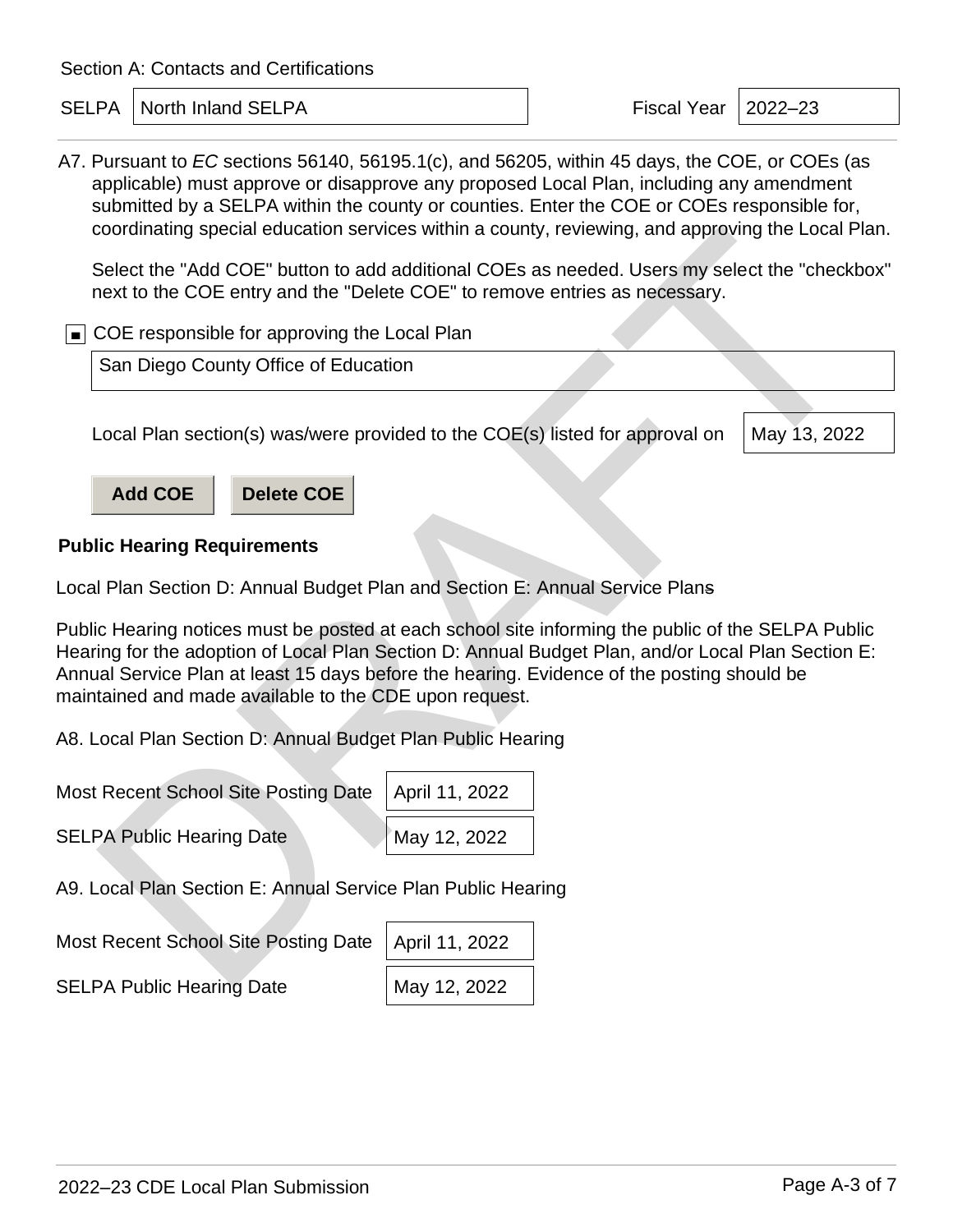SELPA | North Inland SELPA **Fiscal Year | 2022–23** 

A7. Pursuant to *EC* sections 56140, 56195.1(c), and 56205, within 45 days, the COE, or COEs (as applicable) must approve or disapprove any proposed Local Plan, including any amendment submitted by a SELPA within the county or counties. Enter the COE or COEs responsible for, coordinating special education services within a county, reviewing, and approving the Local Plan.

Select the "Add COE" button to add additional COEs as needed. Users my select the "checkbox" next to the COE entry and the "Delete COE" to remove entries as necessary.

■ COE responsible for approving the Local Plan

San Diego County Office of Education

Local Plan section(s) was/were provided to the COE(s) listed for approval on

May 13, 2022



#### **Public Hearing Requirements**

Local Plan Section D: Annual Budget Plan and Section E: Annual Service Plans

Public Hearing notices must be posted at each school site informing the public of the SELPA Public Hearing for the adoption of Local Plan Section D: Annual Budget Plan, and/or Local Plan Section E: Annual Service Plan at least 15 days before the hearing. Evidence of the posting should be maintained and made available to the CDE upon request. coordinating special education services within a county, reviewing, and approving the Local Plant the "Add COE" button to add additional COEs as needed. Users my select the "checkt<br>
Delay the "Delete COE" to renove entries

A8. Local Plan Section D: Annual Budget Plan Public Hearing

| Most Recent School Site Posting Date   April 11, 2022 |              |
|-------------------------------------------------------|--------------|
| <b>SELPA Public Hearing Date</b>                      | May 12, 2022 |

A9. Local Plan Section E: Annual Service Plan Public Hearing

Most Recent School Site Posting Date

| April 11, 2022 |
|----------------|
| May 12, 2022   |

SELPA Public Hearing Date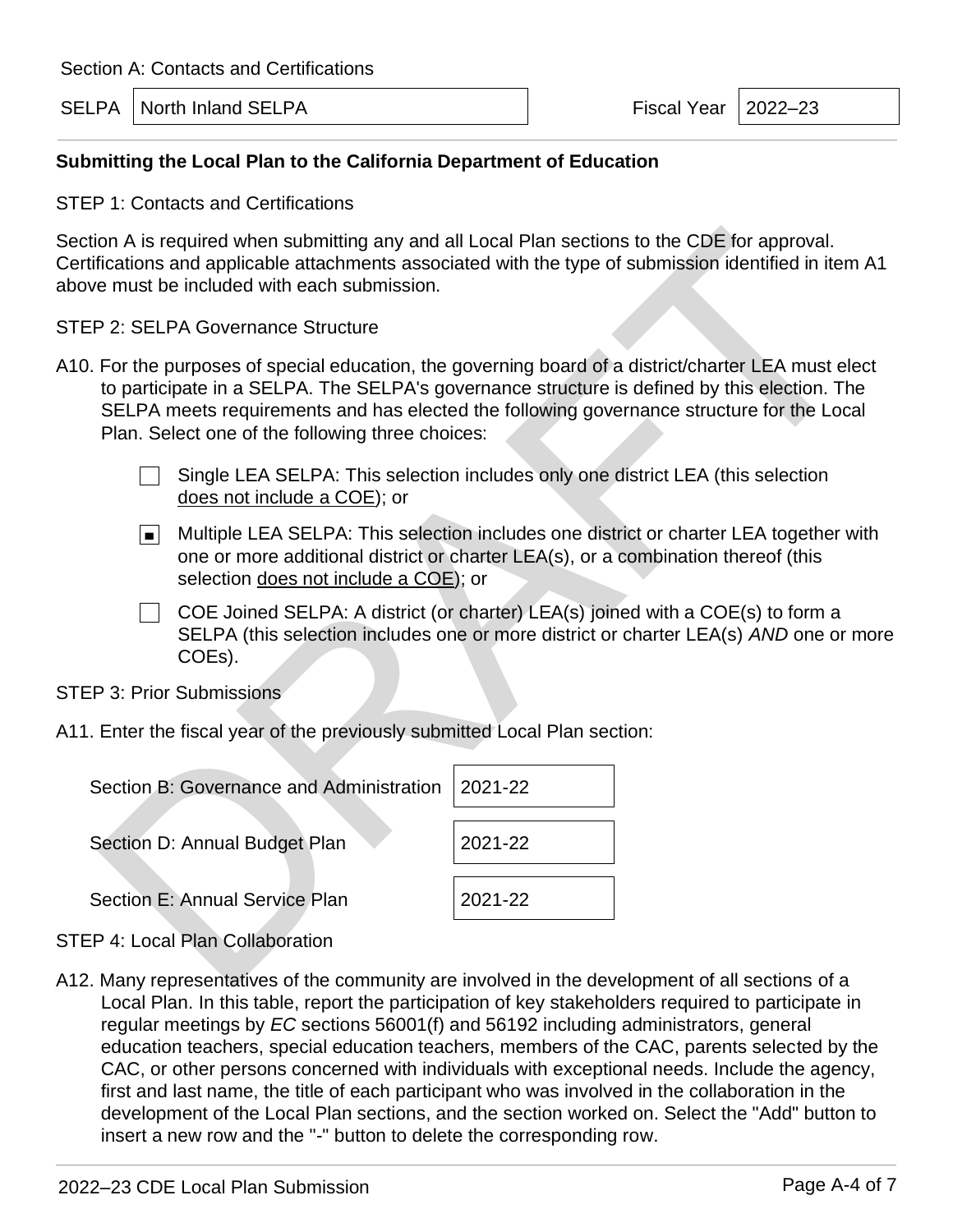Fiscal Year  $\vert$  2022–23

#### **Submitting the Local Plan to the California Department of Education**

STEP 1: Contacts and Certifications

Section A is required when submitting any and all Local Plan sections to the CDE for approval. Certifications and applicable attachments associated with the type of submission identified in item A1 above must be included with each submission.

STEP 2: SELPA Governance Structure

- A10. For the purposes of special education, the governing board of a district/charter LEA must elect to participate in a SELPA. The SELPA's governance structure is defined by this election. The SELPA meets requirements and has elected the following governance structure for the Local Plan. Select one of the following three choices:
	- $\Box$  Single LEA SELPA: This selection includes only one district LEA (this selection does not include a COE); or
	- Multiple LEA SELPA: This selection includes one district or charter LEA together with one or more additional district or charter LEA(s), or a combination thereof (this selection does not include a COE); or
	- $\Box$  COE Joined SELPA: A district (or charter) LEA(s) joined with a COE(s) to form a SELPA (this selection includes one or more district or charter LEA(s) *AND* one or more COEs).

STEP 3: Prior Submissions

| ove must be included with each submission.                               | ction A is required when submitting any and all Local Plan sections to the CDE for approval.<br>rtifications and applicable attachments associated with the type of submission identified in item                                                                                            |
|--------------------------------------------------------------------------|----------------------------------------------------------------------------------------------------------------------------------------------------------------------------------------------------------------------------------------------------------------------------------------------|
| EP 2: SELPA Governance Structure                                         |                                                                                                                                                                                                                                                                                              |
| Plan. Select one of the following three choices:                         | 0. For the purposes of special education, the governing board of a district/charter LEA must ele<br>to participate in a SELPA. The SELPA's governance structure is defined by this election. The<br>SELPA meets requirements and has elected the following governance structure for the Loca |
| does not include a COE); or                                              | Single LEA SELPA: This selection includes only one district LEA (this selection                                                                                                                                                                                                              |
| $\vert$ $\vert$<br>selection does not include a COE); or                 | Multiple LEA SELPA: This selection includes one district or charter LEA together w<br>one or more additional district or charter LEA(s), or a combination thereof (this                                                                                                                      |
| COEs).                                                                   | COE Joined SELPA: A district (or charter) LEA(s) joined with a COE(s) to form a<br>SELPA (this selection includes one or more district or charter LEA(s) AND one or n                                                                                                                        |
| <b>EP 3: Prior Submissions</b>                                           |                                                                                                                                                                                                                                                                                              |
| 1. Enter the fiscal year of the previously submitted Local Plan section: |                                                                                                                                                                                                                                                                                              |
| Section B: Governance and Administration                                 | 2021-22                                                                                                                                                                                                                                                                                      |
| Section D: Annual Budget Plan                                            | 2021-22                                                                                                                                                                                                                                                                                      |
| Section E: Annual Service Plan                                           | 2021-22                                                                                                                                                                                                                                                                                      |
| <b>EP 4: Local Plan Collaboration</b>                                    |                                                                                                                                                                                                                                                                                              |
|                                                                          | 2. Many representatives of the community are involved in the development of all sections of a                                                                                                                                                                                                |

STEP 4: Local Plan Collaboration

A12. Many representatives of the community are involved in the development of all sections of a Local Plan. In this table, report the participation of key stakeholders required to participate in regular meetings by *EC* sections 56001(f) and 56192 including administrators, general education teachers, special education teachers, members of the CAC, parents selected by the CAC, or other persons concerned with individuals with exceptional needs. Include the agency, first and last name, the title of each participant who was involved in the collaboration in the development of the Local Plan sections, and the section worked on. Select the "Add" button to insert a new row and the "-" button to delete the corresponding row.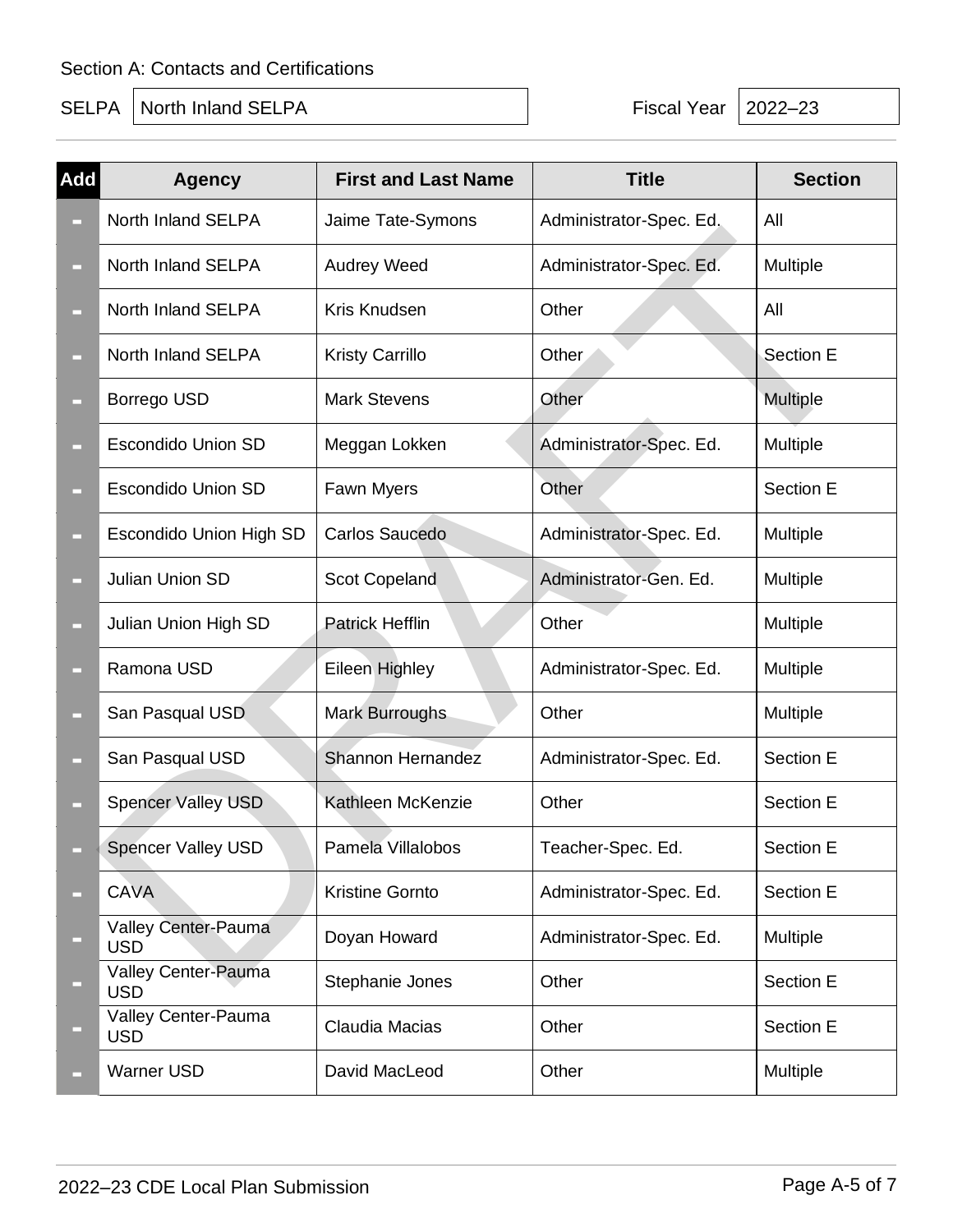SELPA North Inland SELPA **Fiscal Year 2022–23** 

| Add    | <b>Agency</b>                     | <b>First and Last Name</b> | <b>Title</b>            | <b>Section</b>   |
|--------|-----------------------------------|----------------------------|-------------------------|------------------|
|        | North Inland SELPA                | Jaime Tate-Symons          | Administrator-Spec. Ed. | All              |
| $\Box$ | North Inland SELPA                | <b>Audrey Weed</b>         | Administrator-Spec. Ed. | Multiple         |
| ▭      | North Inland SELPA                | Kris Knudsen               | Other                   | All              |
| $\Box$ | North Inland SELPA                | <b>Kristy Carrillo</b>     | Other                   | <b>Section E</b> |
| $\Box$ | Borrego USD                       | <b>Mark Stevens</b>        | Other                   | <b>Multiple</b>  |
| □      | <b>Escondido Union SD</b>         | Meggan Lokken              | Administrator-Spec. Ed. | Multiple         |
| □      | <b>Escondido Union SD</b>         | Fawn Myers                 | Other                   | Section E        |
| ▭      | <b>Escondido Union High SD</b>    | Carlos Saucedo             | Administrator-Spec. Ed. | Multiple         |
| $\Box$ | Julian Union SD                   | <b>Scot Copeland</b>       | Administrator-Gen. Ed.  | Multiple         |
| ▭      | Julian Union High SD              | <b>Patrick Hefflin</b>     | Other                   | Multiple         |
| □      | Ramona USD                        | Eileen Highley             | Administrator-Spec. Ed. | Multiple         |
| □      | San Pasqual USD                   | <b>Mark Burroughs</b>      | Other                   | Multiple         |
| ▭      | San Pasqual USD                   | Shannon Hernandez          | Administrator-Spec. Ed. | <b>Section E</b> |
| $\Box$ | <b>Spencer Valley USD</b>         | Kathleen McKenzie          | Other                   | <b>Section E</b> |
| $\Box$ | Spencer Valley USD                | Pamela Villalobos          | Teacher-Spec. Ed.       | Section E        |
|        | <b>CAVA</b>                       | Kristine Gornto            | Administrator-Spec. Ed. | Section E        |
|        | Valley Center-Pauma<br><b>USD</b> | Doyan Howard               | Administrator-Spec. Ed. | Multiple         |
| $\Box$ | Valley Center-Pauma<br><b>USD</b> | Stephanie Jones            | Other                   | Section E        |
| ▭      | Valley Center-Pauma<br><b>USD</b> | Claudia Macias             | Other                   | Section E        |
| $\Box$ | <b>Warner USD</b>                 | David MacLeod              | Other                   | Multiple         |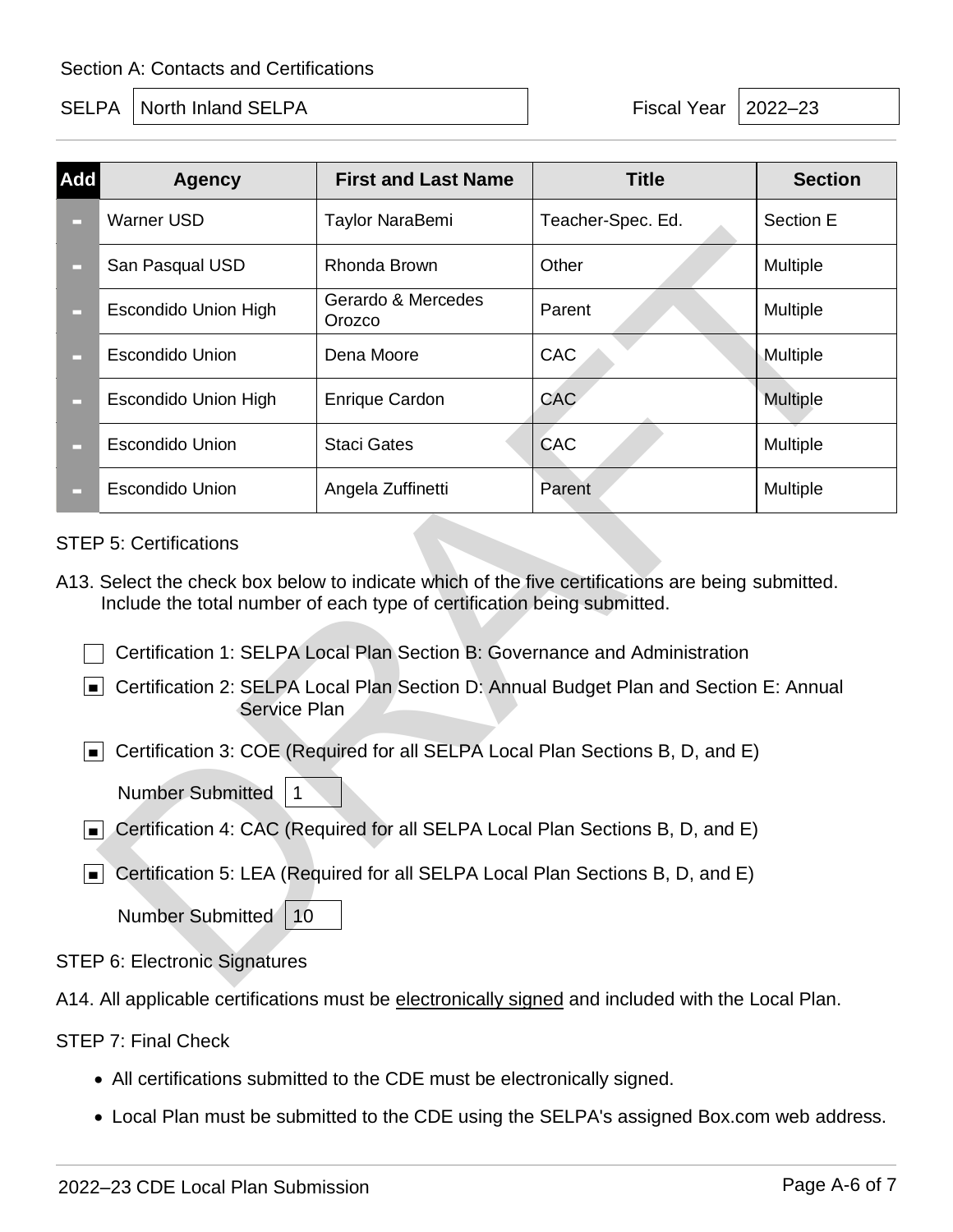SELPA North Inland SELPA **Fiscal Year 12022–23** 

| Add                                                                                                                                                                                                                                                                                                                                                  | <b>Agency</b>                                                                                                                                                                                                                                                                                                                                                                    | <b>First and Last Name</b>   | <b>Title</b>      | <b>Section</b>  |  |  |
|------------------------------------------------------------------------------------------------------------------------------------------------------------------------------------------------------------------------------------------------------------------------------------------------------------------------------------------------------|----------------------------------------------------------------------------------------------------------------------------------------------------------------------------------------------------------------------------------------------------------------------------------------------------------------------------------------------------------------------------------|------------------------------|-------------------|-----------------|--|--|
| ▭                                                                                                                                                                                                                                                                                                                                                    | <b>Warner USD</b>                                                                                                                                                                                                                                                                                                                                                                | Taylor NaraBemi              | Teacher-Spec. Ed. | Section E       |  |  |
| ▭                                                                                                                                                                                                                                                                                                                                                    | San Pasqual USD                                                                                                                                                                                                                                                                                                                                                                  | Rhonda Brown                 | Other             | Multiple        |  |  |
| $\Box$                                                                                                                                                                                                                                                                                                                                               | <b>Escondido Union High</b>                                                                                                                                                                                                                                                                                                                                                      | Gerardo & Mercedes<br>Orozco | Parent            | Multiple        |  |  |
| ▭                                                                                                                                                                                                                                                                                                                                                    | <b>Escondido Union</b>                                                                                                                                                                                                                                                                                                                                                           | Dena Moore                   | CAC               | Multiple        |  |  |
| ▭                                                                                                                                                                                                                                                                                                                                                    | <b>Escondido Union High</b>                                                                                                                                                                                                                                                                                                                                                      | <b>Enrique Cardon</b>        | CAC               | <b>Multiple</b> |  |  |
| $\Box$                                                                                                                                                                                                                                                                                                                                               | <b>Escondido Union</b>                                                                                                                                                                                                                                                                                                                                                           | <b>Staci Gates</b>           | CAC               | Multiple        |  |  |
|                                                                                                                                                                                                                                                                                                                                                      | <b>Escondido Union</b>                                                                                                                                                                                                                                                                                                                                                           | Angela Zuffinetti            | Parent            | Multiple        |  |  |
|                                                                                                                                                                                                                                                                                                                                                      | A13. Select the check box below to indicate which of the five certifications are being submitted.<br>Include the total number of each type of certification being submitted.<br>Certification 1: SELPA Local Plan Section B: Governance and Administration<br>Certification 2: SELPA Local Plan Section D: Annual Budget Plan and Section E: Annual<br>п.<br><b>Service Plan</b> |                              |                   |                 |  |  |
| Certification 3: COE (Required for all SELPA Local Plan Sections B, D, and E)<br>▐▆▏<br><b>Number Submitted</b><br>1<br>Certification 4: CAC (Required for all SELPA Local Plan Sections B, D, and E)<br>$\blacksquare$<br>Certification 5: LEA (Required for all SELPA Local Plan Sections B, D, and E)<br>$\blacksquare$<br>Number Submitted<br>10 |                                                                                                                                                                                                                                                                                                                                                                                  |                              |                   |                 |  |  |
|                                                                                                                                                                                                                                                                                                                                                      | <b>STEP 6: Electronic Signatures</b>                                                                                                                                                                                                                                                                                                                                             |                              |                   |                 |  |  |

#### STEP 5: Certifications

- Certification 2: SELPA Local Plan Section D: Annual Budget Plan and Section E: Annual Service Plan
- Certification 3: COE (Required for all SELPA Local Plan Sections B, D, and E)

- Certification 4: CAC (Required for all SELPA Local Plan Sections B, D, and E)
- Certification 5: LEA (Required for all SELPA Local Plan Sections B, D, and E)

```
Number Submitted
10
```
#### STEP 6: Electronic Signatures

A14. All applicable certifications must be electronically signed and included with the Local Plan.

STEP 7: Final Check

- All certifications submitted to the CDE must be electronically signed.
- Local Plan must be submitted to the CDE using the SELPA's assigned Box.com web address.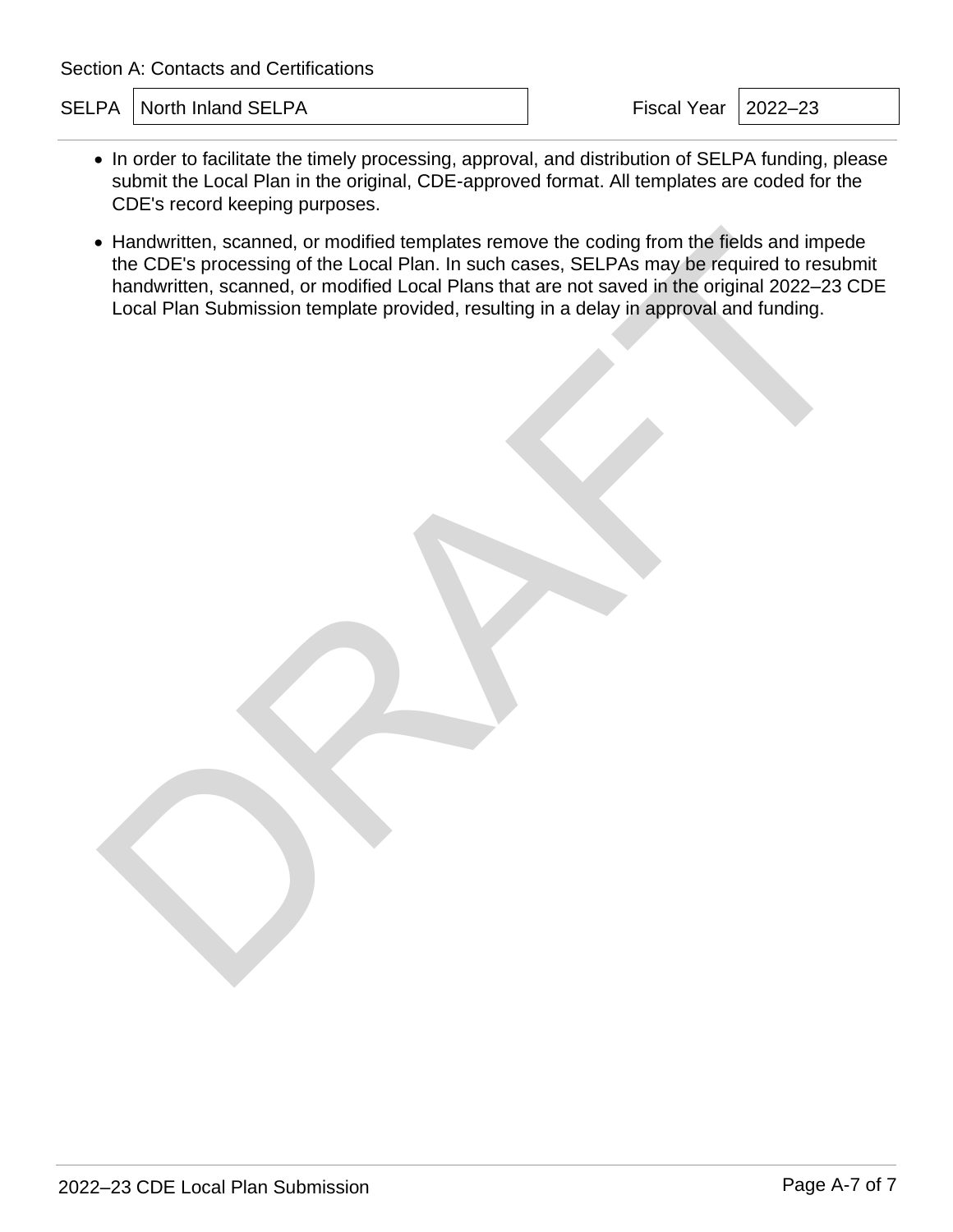SELPA North Inland SELPA **Fiscal Year 12022–23** 

- In order to facilitate the timely processing, approval, and distribution of SELPA funding, please submit the Local Plan in the original, CDE-approved format. All templates are coded for the CDE's record keeping purposes.
- Handwritten, scanned, or modified templates remove the coding from the fields and impede the CDE's processing of the Local Plan. In such cases, SELPAs may be required to resubmit handwritten, scanned, or modified Local Plans that are not saved in the original 2022–23 CDE Local Plan Submission template provided, resulting in a delay in approval and funding. Fandwritten, scanned, or modified templates remove the coding from the fields and impeddinant<br>written, scanned, or modified Local Plan, in such cases, SELPAs may be required to result<br>then scanned, or modified Local Plan s

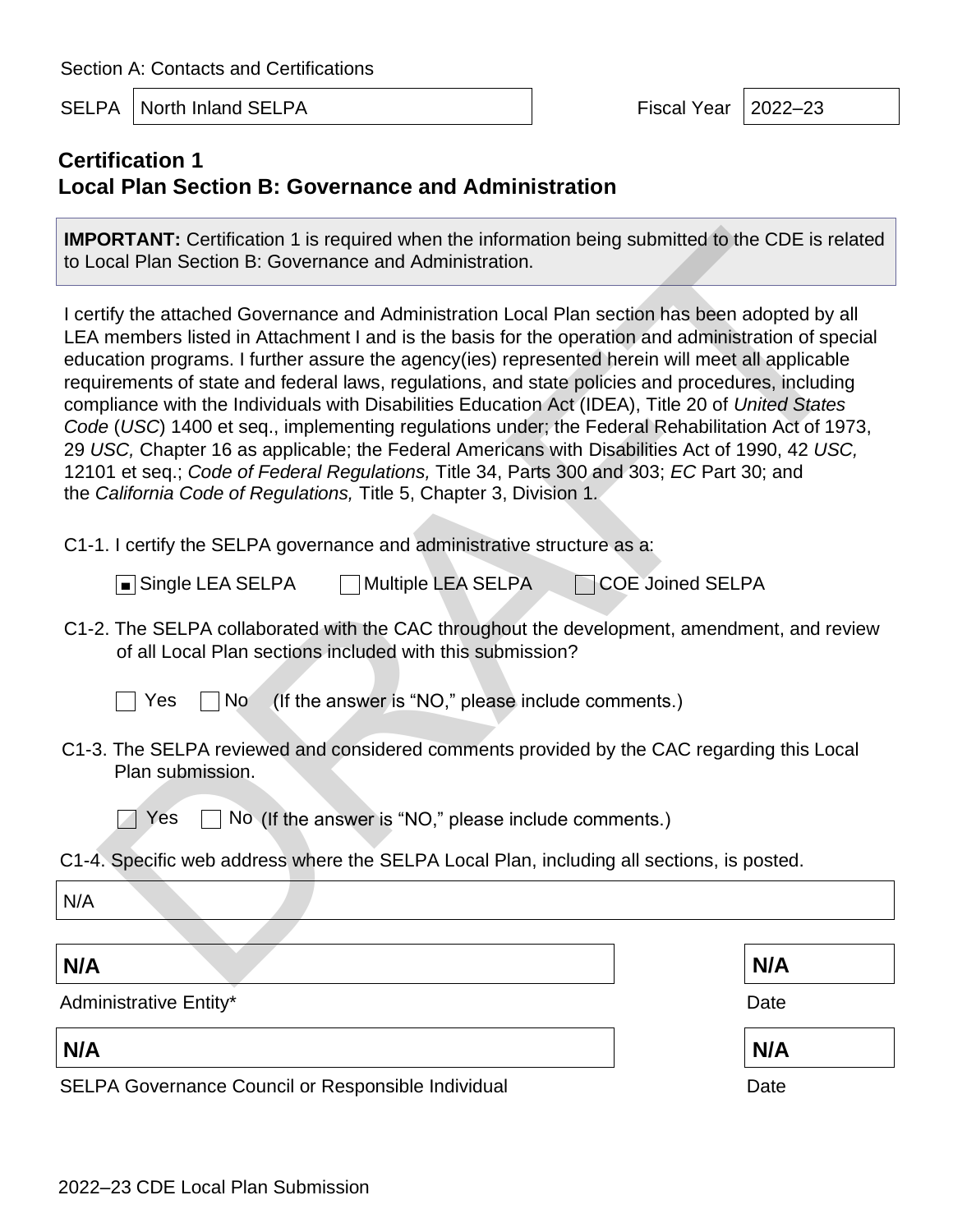SELPA North Inland SELPA Fiscal Year 12022–23

# **Certification 1 Local Plan Section B: Governance and Administration**

**IMPORTANT:** Certification 1 is required when the information being submitted to the CDE is related to Local Plan Section B: Governance and Administration.

I certify the attached Governance and Administration Local Plan section has been adopted by all LEA members listed in Attachment I and is the basis for the operation and administration of special education programs. I further assure the agency(ies) represented herein will meet all applicable requirements of state and federal laws, regulations, and state policies and procedures, including compliance with the Individuals with Disabilities Education Act (IDEA), Title 20 of *United States Code* (*USC*) 1400 et seq., implementing regulations under; the Federal Rehabilitation Act of 1973, 29 *USC,* Chapter 16 as applicable; the Federal Americans with Disabilities Act of 1990, 42 *USC,* 12101 et seq.; *Code of Federal Regulations,* Title 34, Parts 300 and 303; *EC* Part 30; and the *California Code of Regulations,* Title 5, Chapter 3, Division 1*.* **ORTANT:** Certification 1 is required when the information being submitted to the CDE is related Plan Section B: Governance and Administration.<br>
In members listed in Attachment I and is the basis for the operation and adm

C1-1. I certify the SELPA governance and administrative structure as a:

 $\Box$  Multiple LEA SELPA  $\Box$   $\Box$  COE Joined SELPA ■ Single LEA SELPA

C1-2. The SELPA collaborated with the CAC throughout the development, amendment, and review of all Local Plan sections included with this submission?

Yes  $\Box$  No (If the answer is "NO," please include comments.)

C1-3. The SELPA reviewed and considered comments provided by the CAC regarding this Local Plan submission.



 $\Box$  Yes  $\Box$  No (If the answer is "NO," please include comments.)

C1-4. Specific web address where the SELPA Local Plan, including all sections, is posted.

N/A

### **N/A N/A**

Administrative Entity\* The Contract of the Contract of the Contract of the Contract of the Date

**N/A N/A**

SELPA Governance Council or Responsible Individual Date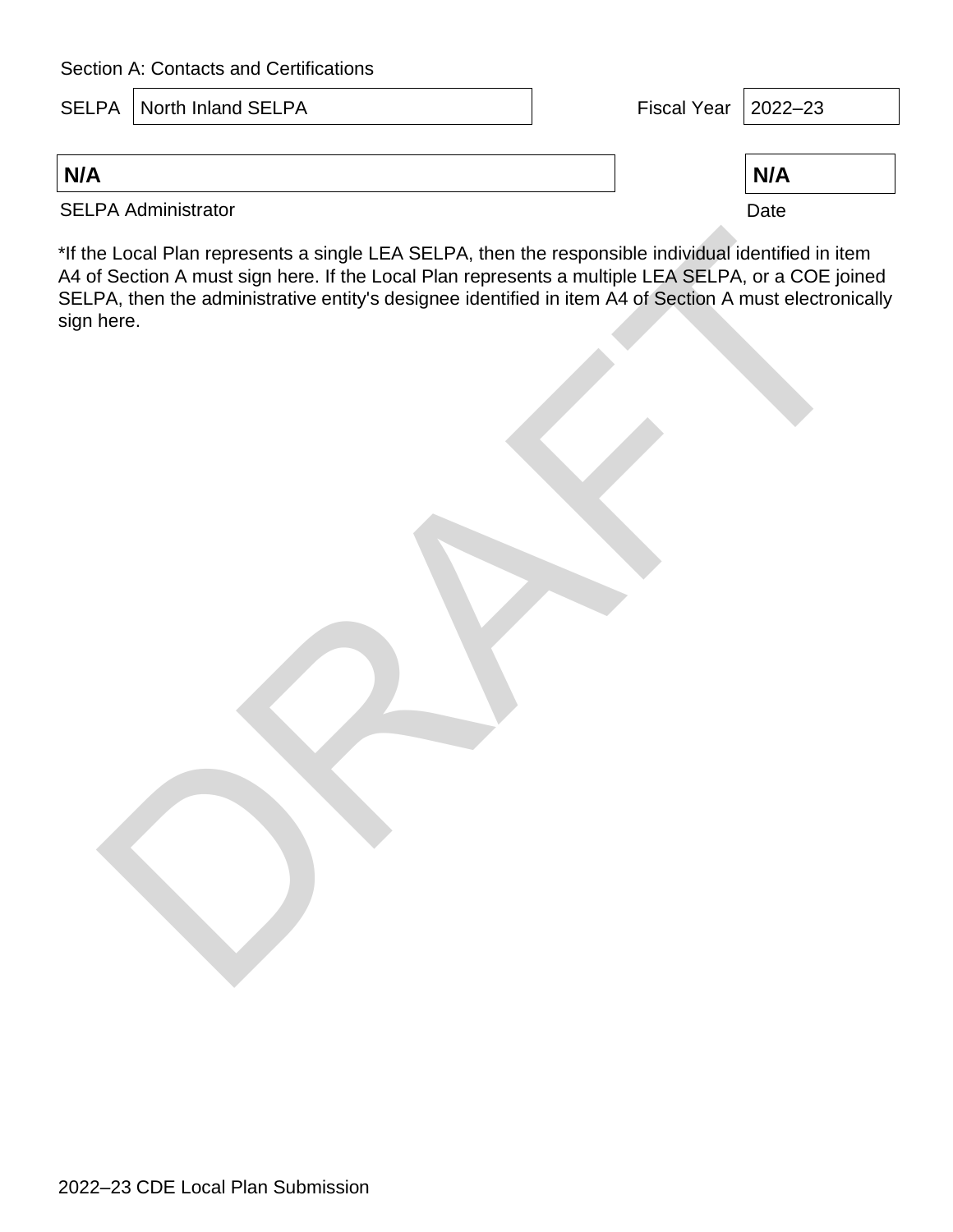|     | <b>SELPA</b>   North Inland SELPA | Fiscal Year $ 2022-23$ |      |  |
|-----|-----------------------------------|------------------------|------|--|
|     |                                   |                        |      |  |
| N/A |                                   |                        | N/A  |  |
|     | <b>SELPA Administrator</b>        |                        | Date |  |

\*If the Local Plan represents a single LEA SELPA, then the responsible individual identified in item A4 of Section A must sign here. If the Local Plan represents a multiple LEA SELPA, or a COE joined SELPA, then the administrative entity's designee identified in item A4 of Section A must electronically sign here.

e Local Plan represents a single LEA SELPA, then the responsible individual identified in iter<br>1 Section A must sign here. If the Local Plan represents a multiple LEA SELPA, or a COE join<br>PA, then the administrative entity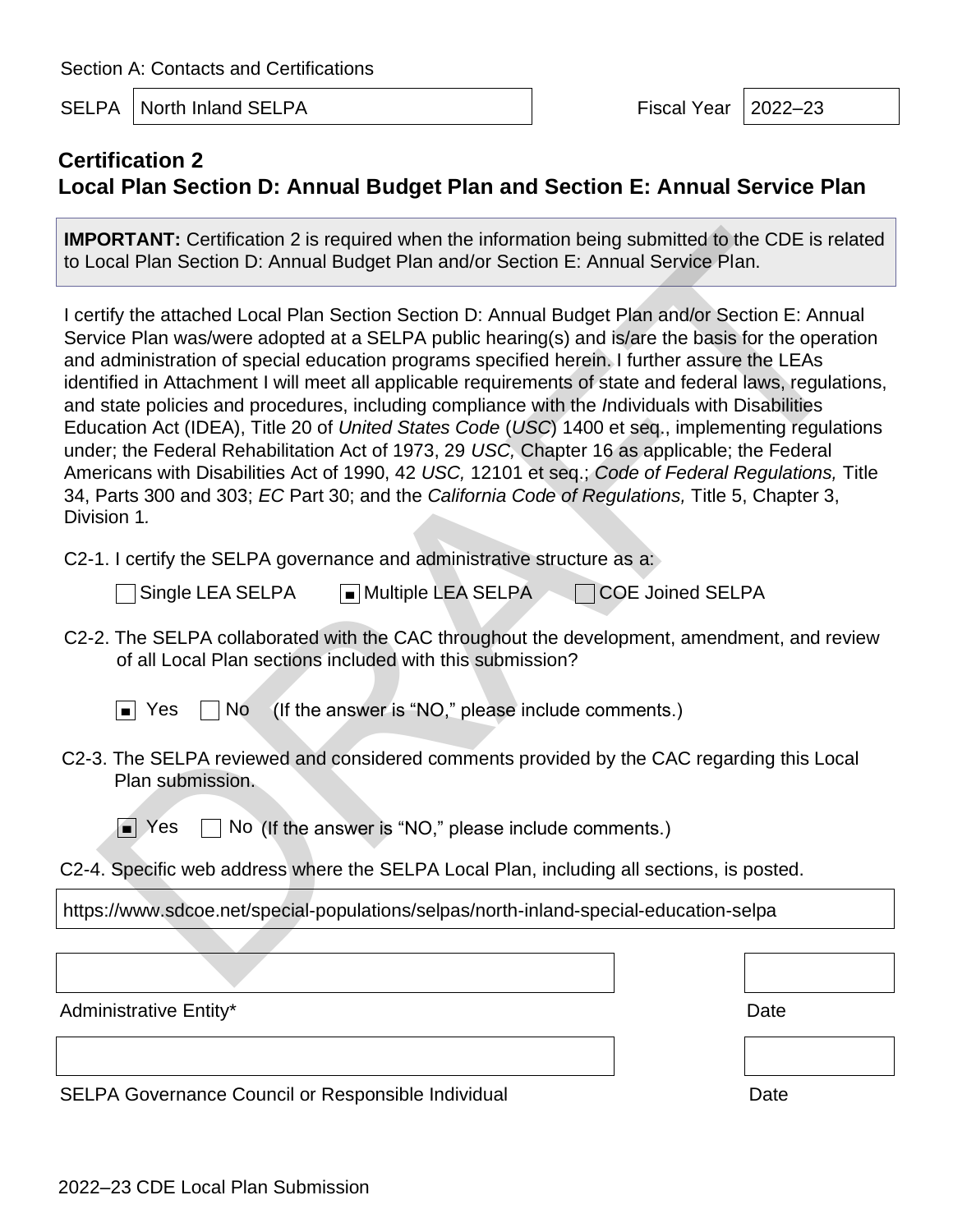SELPA North Inland SELPA Fiscal Year 2022–23

# **Certification 2 Local Plan Section D: Annual Budget Plan and Section E: Annual Service Plan**

**IMPORTANT:** Certification 2 is required when the information being submitted to the CDE is related to Local Plan Section D: Annual Budget Plan and/or Section E: Annual Service Plan.

I certify the attached Local Plan Section Section D: Annual Budget Plan and/or Section E: Annual Service Plan was/were adopted at a SELPA public hearing(s) and is/are the basis for the operation and administration of special education programs specified herein. I further assure the LEAs identified in Attachment I will meet all applicable requirements of state and federal laws, regulations, and state policies and procedures, including compliance with the *I*ndividuals with Disabilities Education Act (IDEA), Title 20 of *United States Code* (*USC*) 1400 et seq., implementing regulations under; the Federal Rehabilitation Act of 1973, 29 *USC,* Chapter 16 as applicable; the Federal Americans with Disabilities Act of 1990, 42 *USC,* 12101 et seq.; *Code of Federal Regulations,* Title 34, Parts 300 and 303; *EC* Part 30; and the *California Code of Regulations,* Title 5, Chapter 3, Division 1*.* **ORTANT:** Certification 2 is required when the information being submitted to the C[D](http://www.sdcoe.net/special-populations/selpas/north-inland-special-education-selpa)E is related Deal Plan Section D: Annual Budget Plan and/or Section E: Annual Service Plan.<br>Trifty the attached Local Plan Section Sectio

C2-1. I certify the SELPA governance and administrative structure as a:

Single LEA SELPA 
■ Multiple LEA SELPA 
■ Multiple LEA SELPA

C2-2. The SELPA collaborated with the CAC throughout the development, amendment, and review of all Local Plan sections included with this submission?

 $\Box$  No (If the answer is "NO," please include comments.) ■ Yes

- C2-3. The SELPA reviewed and considered comments provided by the CAC regarding this Local Plan submission.
	- $\Box$  No (If the answer is "NO," please include comments.) ■ Yes

C2-4. Specific web address where the SELPA Local Plan, including all sections, is posted.

https://www.sdcoe.net/special-populations/selpas/north-inland-special-education-selpa

Administrative Entity\* Date **Date** Date **Date** 

SELPA Governance Council or Responsible Individual Date Date